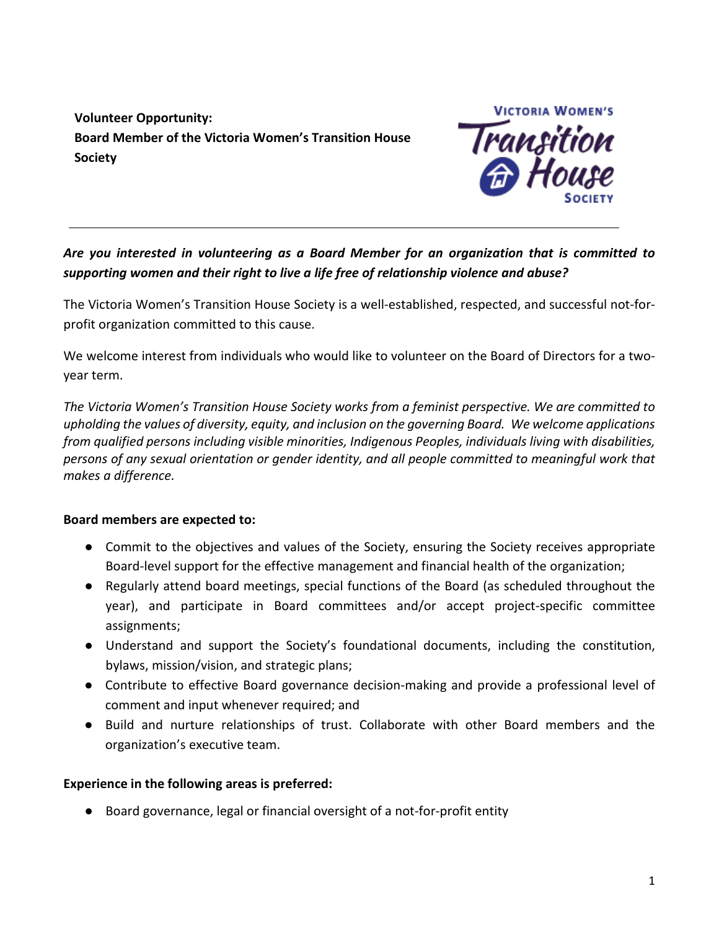**Volunteer Opportunity: Board Member of the Victoria Women's Transition House Society**



# *Are you interested in volunteering as a Board Member for an organization that is committed to supporting women and their right to live a life free of relationship violence and abuse?*

The Victoria Women's Transition House Society is a well-established, respected, and successful not-forprofit organization committed to this cause.

We welcome interest from individuals who would like to volunteer on the Board of Directors for a twoyear term.

*The Victoria Women's Transition House Society works from a feminist perspective. We are committed to upholding the values of diversity, equity, and inclusion on the governing Board. We welcome applications from qualified persons including visible minorities, Indigenous Peoples, individuals living with disabilities, persons of any sexual orientation or gender identity, and all people committed to meaningful work that makes a difference.*

### **Board members are expected to:**

- Commit to the objectives and values of the Society, ensuring the Society receives appropriate Board-level support for the effective management and financial health of the organization;
- Regularly attend board meetings, special functions of the Board (as scheduled throughout the year), and participate in Board committees and/or accept project-specific committee assignments;
- Understand and support the Society's foundational documents, including the constitution, bylaws, mission/vision, and strategic plans;
- Contribute to effective Board governance decision-making and provide a professional level of comment and input whenever required; and
- Build and nurture relationships of trust. Collaborate with other Board members and the organization's executive team.

## **Experience in the following areas is preferred:**

● Board governance, legal or financial oversight of a not-for-profit entity